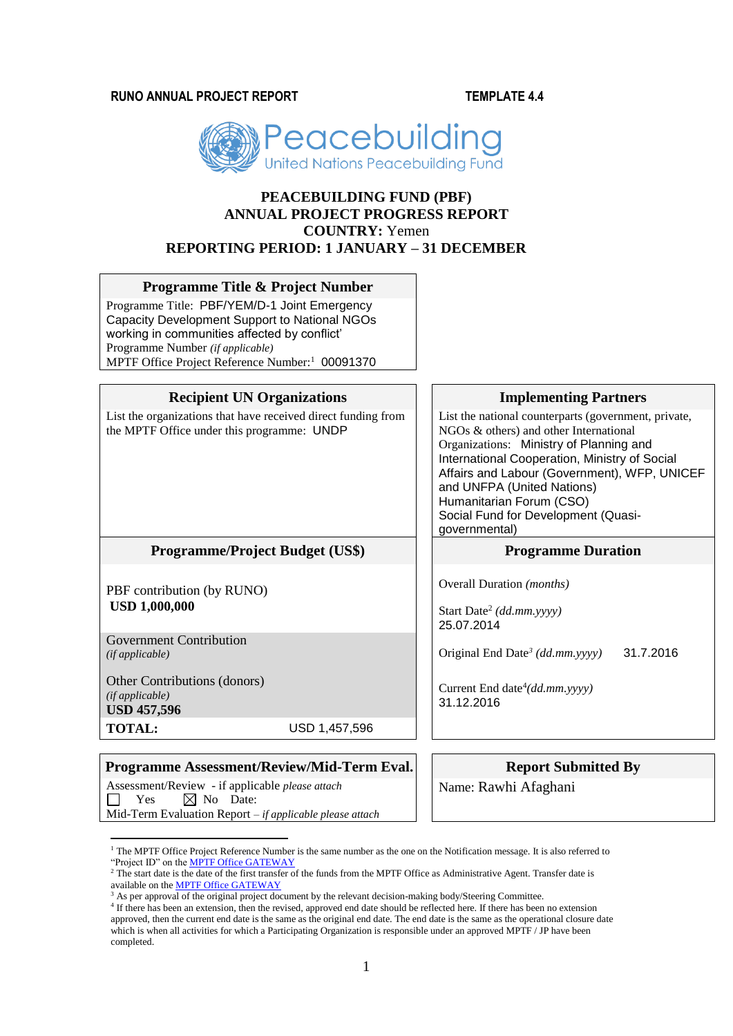**RUNO ANNUAL PROJECT REPORT TEMPLATE 4.4**



# **PEACEBUILDING FUND (PBF) ANNUAL PROJECT PROGRESS REPORT COUNTRY:** Yemen **REPORTING PERIOD: 1 JANUARY – 31 DECEMBER**

#### **Programme Title & Project Number**

Programme Title: PBF/YEM/D-1 Joint Emergency Capacity Development Support to National NGOs working in communities affected by conflict' Programme Number *(if applicable)*  MPTF Office Project Reference Number:<sup>1</sup> 00091370

#### **Recipient UN Organizations Implementing Partners**

List the organizations that have received direct funding from the MPTF Office under this programme: UNDP

## **Programme/Project Budget** (US\$) Programme Duration

PBF contribution (by RUNO) **USD 1,000,000** 

Government Contribution<br>(if applicable)

Other Contributions (donors) *(if applicable)* **USD 457,596 TOTAL:** USD 1,457,596

1

#### **Programme Assessment/Review/Mid-Term Eval.** Report Submitted By

Assessment/Review - if applicable *please attach*  $\Box$  Yes  $\boxtimes$  No Date: Mid-Term Evaluation Report *– if applicable please attach*

List the national counterparts (government, private, NGOs & others) and other International Organizations: Ministry of Planning and International Cooperation, Ministry of Social Affairs and Labour (Government), WFP, UNICEF and UNFPA (United Nations) Humanitarian Forum (CSO) Social Fund for Development (Quasigovernmental)

Overall Duration *(months)*

Start Date<sup>2</sup> *(dd.mm.yyyy)* 25.07.2014

*(if applicable)* Original End Date*<sup>3</sup> (dd.mm.yyyy)* 31.7.2016

Current End date<sup>4</sup> *(dd.mm.yyyy)* 31.12.2016

Name: Rawhi Afaghani

 $1$  The MPTF Office Project Reference Number is the same number as the one on the Notification message. It is also referred to "Project ID" on th[e MPTF Office GATEWAY](http://mdtf.undp.org/)

<sup>&</sup>lt;sup>2</sup> The start date is the date of the first transfer of the funds from the MPTF Office as Administrative Agent. Transfer date is available on th[e MPTF Office GATEWAY](http://mdtf.undp.org/)

<sup>&</sup>lt;sup>3</sup> As per approval of the original project document by the relevant decision-making body/Steering Committee.

<sup>&</sup>lt;sup>4</sup> If there has been an extension, then the revised, approved end date should be reflected here. If there has been no extension approved, then the current end date is the same as the original end date. The end date is the same as the operational closure date which is when all activities for which a Participating Organization is responsible under an approved MPTF / JP have been completed.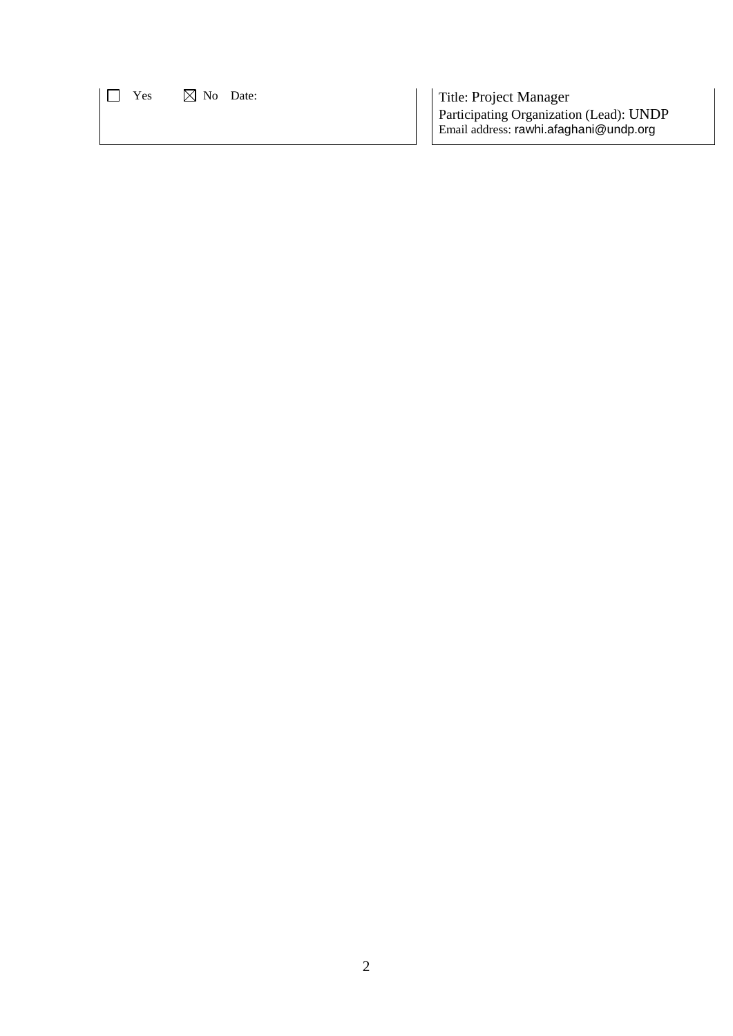Yes ⊠ No Date: Title: Project Manager Participating Organization (Lead): UNDP Email address: rawhi.afaghani@undp.org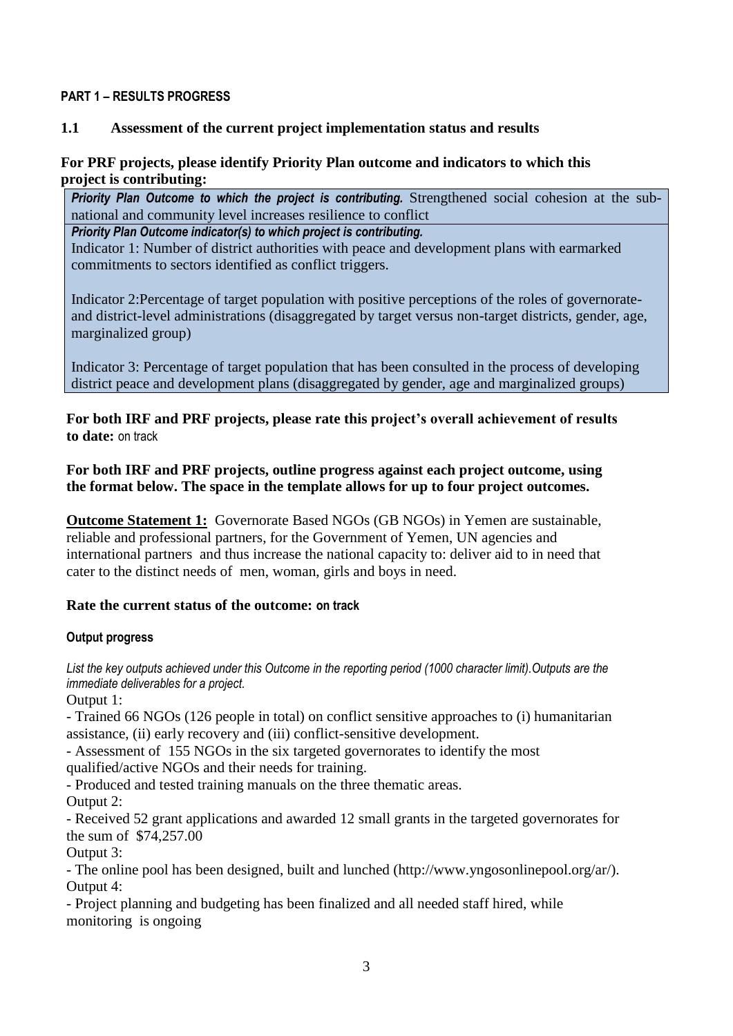# **PART 1 – RESULTS PROGRESS**

# **1.1 Assessment of the current project implementation status and results**

# **For PRF projects, please identify Priority Plan outcome and indicators to which this project is contributing:**

*Priority Plan Outcome to which the project is contributing.* Strengthened social cohesion at the subnational and community level increases resilience to conflict

*Priority Plan Outcome indicator(s) to which project is contributing.*  Indicator 1: Number of district authorities with peace and development plans with earmarked commitments to sectors identified as conflict triggers.

Indicator 2:Percentage of target population with positive perceptions of the roles of governorateand district-level administrations (disaggregated by target versus non-target districts, gender, age, marginalized group)

Indicator 3: Percentage of target population that has been consulted in the process of developing district peace and development plans (disaggregated by gender, age and marginalized groups)

**For both IRF and PRF projects, please rate this project's overall achievement of results to date:** on track

# **For both IRF and PRF projects, outline progress against each project outcome, using the format below. The space in the template allows for up to four project outcomes.**

**Outcome Statement 1:** Governorate Based NGOs (GB NGOs) in Yemen are sustainable, reliable and professional partners, for the Government of Yemen, UN agencies and international partners and thus increase the national capacity to: deliver aid to in need that cater to the distinct needs of men, woman, girls and boys in need.

# **Rate the current status of the outcome: on track**

# **Output progress**

*List the key outputs achieved under this Outcome in the reporting period (1000 character limit).Outputs are the immediate deliverables for a project.*

Output 1:

- Trained 66 NGOs (126 people in total) on conflict sensitive approaches to (i) humanitarian assistance, (ii) early recovery and (iii) conflict-sensitive development.

- Assessment of 155 NGOs in the six targeted governorates to identify the most qualified/active NGOs and their needs for training.

- Produced and tested training manuals on the three thematic areas.

Output 2:

- Received 52 grant applications and awarded 12 small grants in the targeted governorates for the sum of \$74,257.00

Output 3:

- The online pool has been designed, built and lunched (http://www.yngosonlinepool.org/ar/). Output 4:

- Project planning and budgeting has been finalized and all needed staff hired, while monitoring is ongoing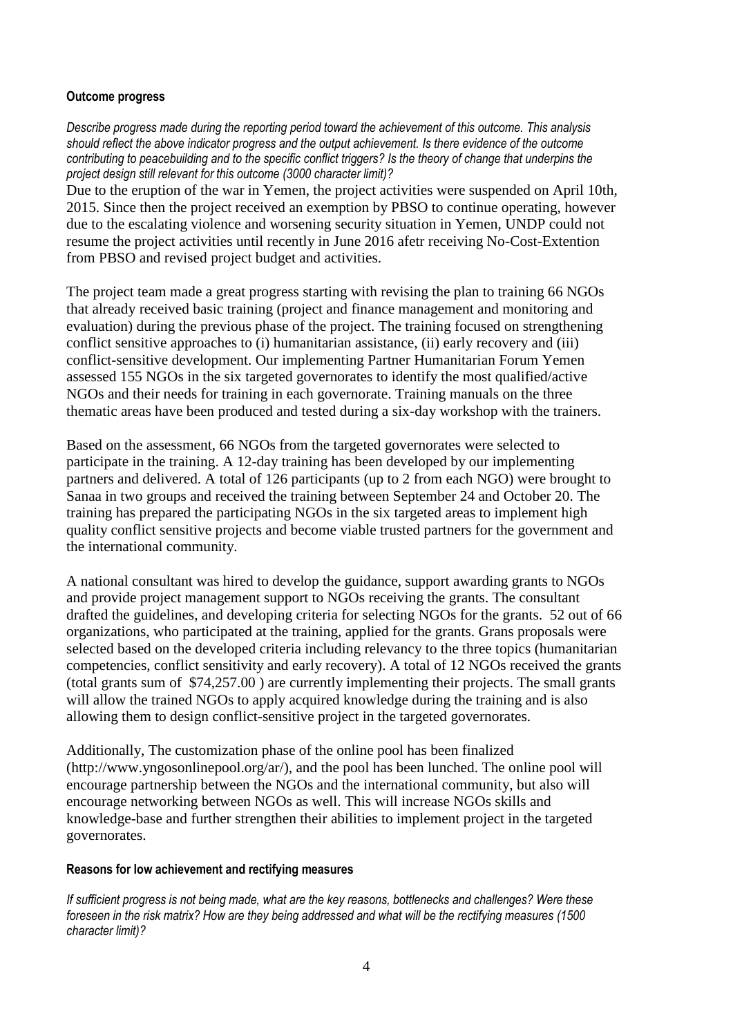## **Outcome progress**

*Describe progress made during the reporting period toward the achievement of this outcome. This analysis should reflect the above indicator progress and the output achievement. Is there evidence of the outcome contributing to peacebuilding and to the specific conflict triggers? Is the theory of change that underpins the project design still relevant for this outcome (3000 character limit)?* 

Due to the eruption of the war in Yemen, the project activities were suspended on April 10th, 2015. Since then the project received an exemption by PBSO to continue operating, however due to the escalating violence and worsening security situation in Yemen, UNDP could not resume the project activities until recently in June 2016 afetr receiving No-Cost-Extention from PBSO and revised project budget and activities.

The project team made a great progress starting with revising the plan to training 66 NGOs that already received basic training (project and finance management and monitoring and evaluation) during the previous phase of the project. The training focused on strengthening conflict sensitive approaches to (i) humanitarian assistance, (ii) early recovery and (iii) conflict-sensitive development. Our implementing Partner Humanitarian Forum Yemen assessed 155 NGOs in the six targeted governorates to identify the most qualified/active NGOs and their needs for training in each governorate. Training manuals on the three thematic areas have been produced and tested during a six-day workshop with the trainers.

Based on the assessment, 66 NGOs from the targeted governorates were selected to participate in the training. A 12-day training has been developed by our implementing partners and delivered. A total of 126 participants (up to 2 from each NGO) were brought to Sanaa in two groups and received the training between September 24 and October 20. The training has prepared the participating NGOs in the six targeted areas to implement high quality conflict sensitive projects and become viable trusted partners for the government and the international community.

A national consultant was hired to develop the guidance, support awarding grants to NGOs and provide project management support to NGOs receiving the grants. The consultant drafted the guidelines, and developing criteria for selecting NGOs for the grants. 52 out of 66 organizations, who participated at the training, applied for the grants. Grans proposals were selected based on the developed criteria including relevancy to the three topics (humanitarian competencies, conflict sensitivity and early recovery). A total of 12 NGOs received the grants (total grants sum of \$74,257.00 ) are currently implementing their projects. The small grants will allow the trained NGOs to apply acquired knowledge during the training and is also allowing them to design conflict-sensitive project in the targeted governorates.

Additionally, The customization phase of the online pool has been finalized (http://www.yngosonlinepool.org/ar/), and the pool has been lunched. The online pool will encourage partnership between the NGOs and the international community, but also will encourage networking between NGOs as well. This will increase NGOs skills and knowledge-base and further strengthen their abilities to implement project in the targeted governorates.

## **Reasons for low achievement and rectifying measures**

*If sufficient progress is not being made, what are the key reasons, bottlenecks and challenges? Were these foreseen in the risk matrix? How are they being addressed and what will be the rectifying measures (1500 character limit)?*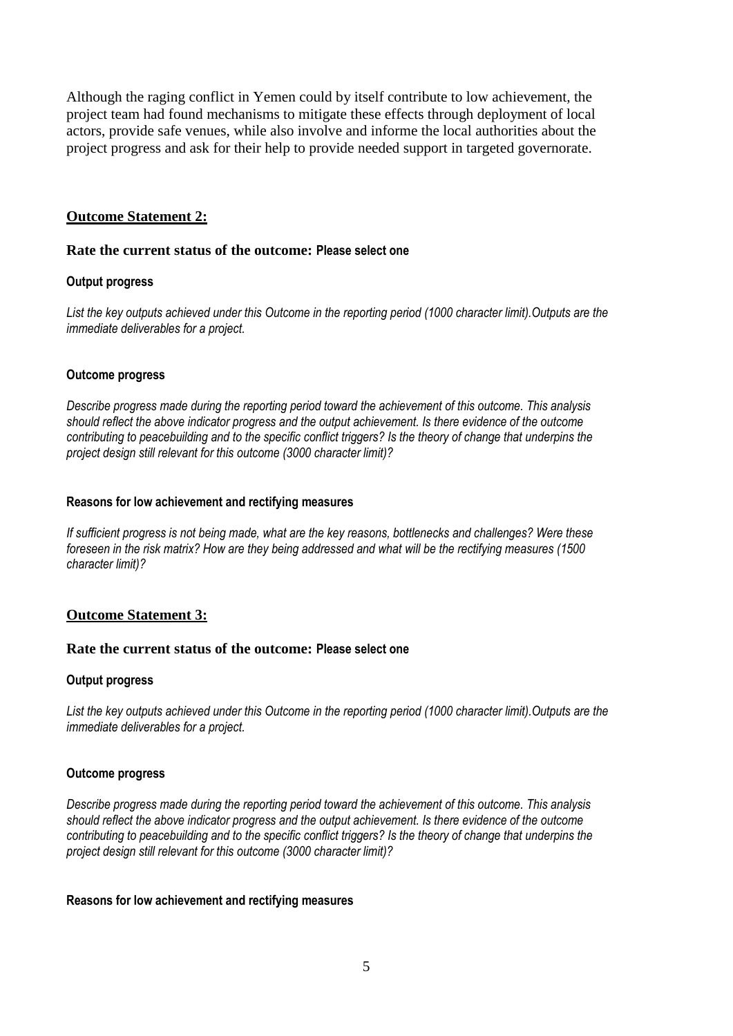Although the raging conflict in Yemen could by itself contribute to low achievement, the project team had found mechanisms to mitigate these effects through deployment of local actors, provide safe venues, while also involve and informe the local authorities about the project progress and ask for their help to provide needed support in targeted governorate.

## **Outcome Statement 2:**

## **Rate the current status of the outcome: Please select one**

#### **Output progress**

*List the key outputs achieved under this Outcome in the reporting period (1000 character limit).Outputs are the immediate deliverables for a project.*

#### **Outcome progress**

*Describe progress made during the reporting period toward the achievement of this outcome. This analysis should reflect the above indicator progress and the output achievement. Is there evidence of the outcome contributing to peacebuilding and to the specific conflict triggers? Is the theory of change that underpins the project design still relevant for this outcome (3000 character limit)?* 

#### **Reasons for low achievement and rectifying measures**

*If sufficient progress is not being made, what are the key reasons, bottlenecks and challenges? Were these foreseen in the risk matrix? How are they being addressed and what will be the rectifying measures (1500 character limit)?*

## **Outcome Statement 3:**

#### **Rate the current status of the outcome: Please select one**

#### **Output progress**

*List the key outputs achieved under this Outcome in the reporting period (1000 character limit).Outputs are the immediate deliverables for a project.*

## **Outcome progress**

*Describe progress made during the reporting period toward the achievement of this outcome. This analysis should reflect the above indicator progress and the output achievement. Is there evidence of the outcome contributing to peacebuilding and to the specific conflict triggers? Is the theory of change that underpins the project design still relevant for this outcome (3000 character limit)?* 

## **Reasons for low achievement and rectifying measures**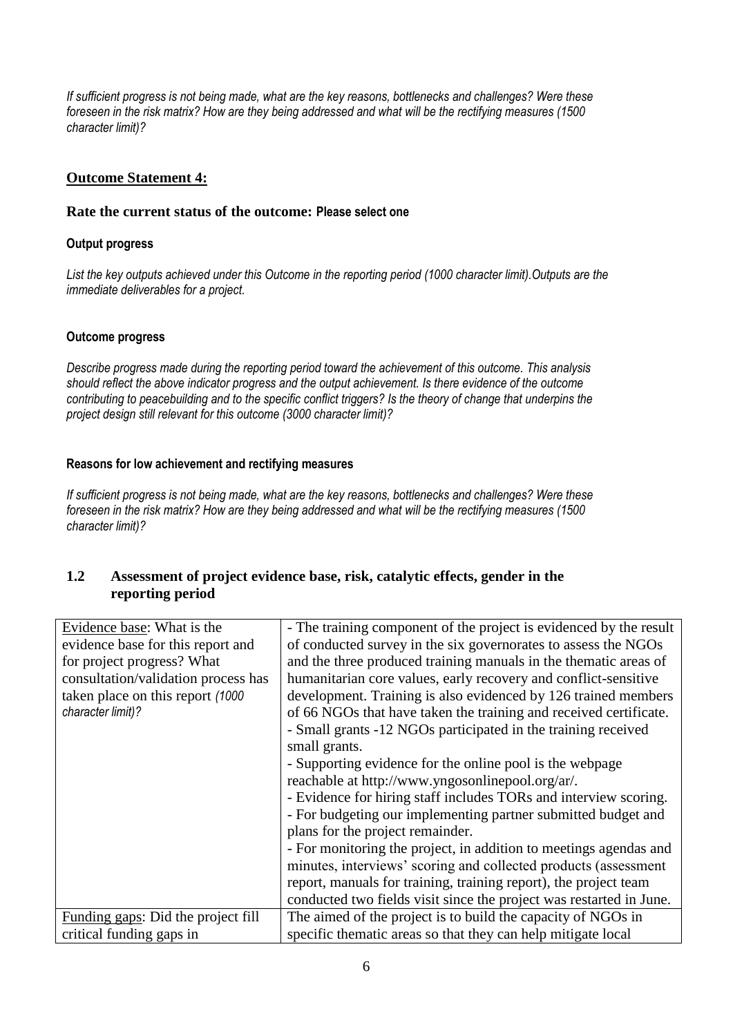*If sufficient progress is not being made, what are the key reasons, bottlenecks and challenges? Were these foreseen in the risk matrix? How are they being addressed and what will be the rectifying measures (1500 character limit)?*

# **Outcome Statement 4:**

## **Rate the current status of the outcome: Please select one**

## **Output progress**

*List the key outputs achieved under this Outcome in the reporting period (1000 character limit).Outputs are the immediate deliverables for a project.*

## **Outcome progress**

*Describe progress made during the reporting period toward the achievement of this outcome. This analysis should reflect the above indicator progress and the output achievement. Is there evidence of the outcome contributing to peacebuilding and to the specific conflict triggers? Is the theory of change that underpins the project design still relevant for this outcome (3000 character limit)?* 

## **Reasons for low achievement and rectifying measures**

*If sufficient progress is not being made, what are the key reasons, bottlenecks and challenges? Were these foreseen in the risk matrix? How are they being addressed and what will be the rectifying measures (1500 character limit)?*

# **1.2 Assessment of project evidence base, risk, catalytic effects, gender in the reporting period**

| Evidence base: What is the          | - The training component of the project is evidenced by the result  |
|-------------------------------------|---------------------------------------------------------------------|
| evidence base for this report and   | of conducted survey in the six governorates to assess the NGOs      |
| for project progress? What          | and the three produced training manuals in the thematic areas of    |
| consultation/validation process has | humanitarian core values, early recovery and conflict-sensitive     |
| taken place on this report (1000)   | development. Training is also evidenced by 126 trained members      |
| character limit)?                   | of 66 NGOs that have taken the training and received certificate.   |
|                                     | - Small grants -12 NGOs participated in the training received       |
|                                     | small grants.                                                       |
|                                     | - Supporting evidence for the online pool is the webpage            |
|                                     | reachable at http://www.yngosonlinepool.org/ar/.                    |
|                                     | - Evidence for hiring staff includes TORs and interview scoring.    |
|                                     | - For budgeting our implementing partner submitted budget and       |
|                                     | plans for the project remainder.                                    |
|                                     | - For monitoring the project, in addition to meetings agendas and   |
|                                     | minutes, interviews' scoring and collected products (assessment     |
|                                     | report, manuals for training, training report), the project team    |
|                                     | conducted two fields visit since the project was restarted in June. |
| Funding gaps: Did the project fill  | The aimed of the project is to build the capacity of NGOs in        |
| critical funding gaps in            | specific thematic areas so that they can help mitigate local        |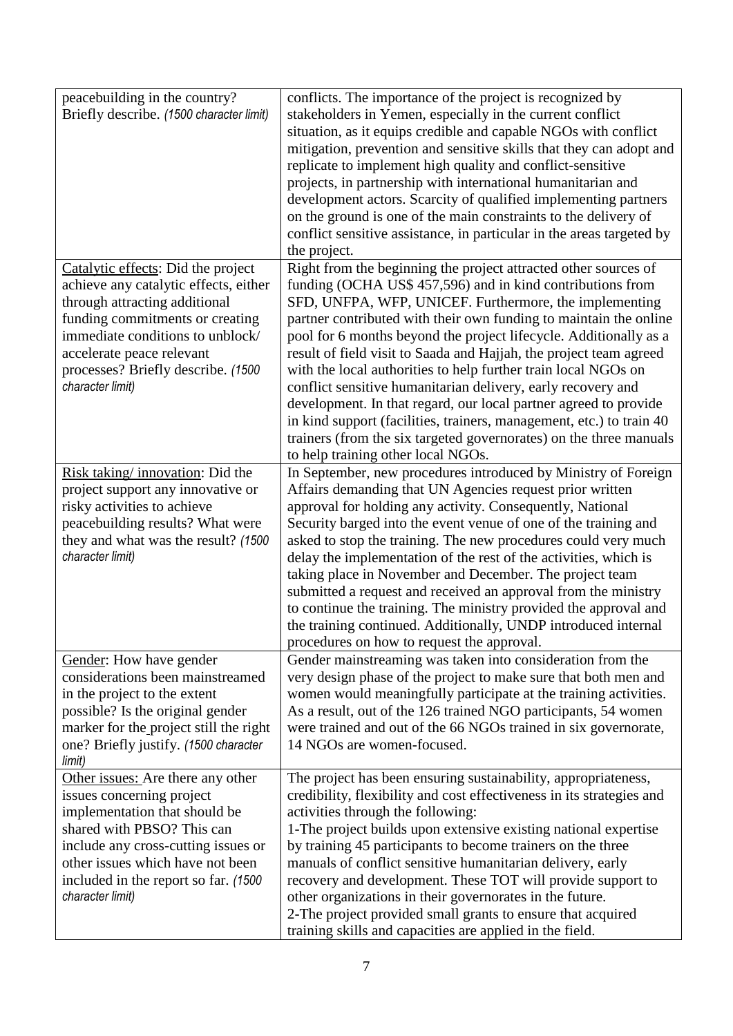| peacebuilding in the country?                               | conflicts. The importance of the project is recognized by                                                                           |
|-------------------------------------------------------------|-------------------------------------------------------------------------------------------------------------------------------------|
| Briefly describe. (1500 character limit)                    | stakeholders in Yemen, especially in the current conflict                                                                           |
|                                                             | situation, as it equips credible and capable NGOs with conflict                                                                     |
|                                                             | mitigation, prevention and sensitive skills that they can adopt and                                                                 |
|                                                             | replicate to implement high quality and conflict-sensitive                                                                          |
|                                                             | projects, in partnership with international humanitarian and                                                                        |
|                                                             | development actors. Scarcity of qualified implementing partners                                                                     |
|                                                             | on the ground is one of the main constraints to the delivery of                                                                     |
|                                                             | conflict sensitive assistance, in particular in the areas targeted by                                                               |
|                                                             | the project.                                                                                                                        |
| Catalytic effects: Did the project                          | Right from the beginning the project attracted other sources of                                                                     |
| achieve any catalytic effects, either                       | funding (OCHA US\$ 457,596) and in kind contributions from                                                                          |
| through attracting additional                               | SFD, UNFPA, WFP, UNICEF. Furthermore, the implementing                                                                              |
| funding commitments or creating                             | partner contributed with their own funding to maintain the online                                                                   |
| immediate conditions to unblock/                            | pool for 6 months beyond the project lifecycle. Additionally as a                                                                   |
| accelerate peace relevant                                   | result of field visit to Saada and Hajjah, the project team agreed                                                                  |
| processes? Briefly describe. (1500)                         | with the local authorities to help further train local NGOs on                                                                      |
| character limit)                                            | conflict sensitive humanitarian delivery, early recovery and                                                                        |
|                                                             | development. In that regard, our local partner agreed to provide                                                                    |
|                                                             | in kind support (facilities, trainers, management, etc.) to train 40                                                                |
|                                                             | trainers (from the six targeted governorates) on the three manuals                                                                  |
|                                                             | to help training other local NGOs.                                                                                                  |
| Risk taking/innovation: Did the                             | In September, new procedures introduced by Ministry of Foreign                                                                      |
| project support any innovative or                           | Affairs demanding that UN Agencies request prior written                                                                            |
| risky activities to achieve                                 | approval for holding any activity. Consequently, National                                                                           |
| peacebuilding results? What were                            | Security barged into the event venue of one of the training and                                                                     |
| they and what was the result? (1500                         | asked to stop the training. The new procedures could very much                                                                      |
| character limit)                                            | delay the implementation of the rest of the activities, which is                                                                    |
|                                                             | taking place in November and December. The project team                                                                             |
|                                                             | submitted a request and received an approval from the ministry                                                                      |
|                                                             | to continue the training. The ministry provided the approval and                                                                    |
|                                                             | the training continued. Additionally, UNDP introduced internal                                                                      |
|                                                             | procedures on how to request the approval.                                                                                          |
| Gender: How have gender<br>considerations been mainstreamed | Gender mainstreaming was taken into consideration from the                                                                          |
| in the project to the extent                                | very design phase of the project to make sure that both men and<br>women would meaningfully participate at the training activities. |
| possible? Is the original gender                            | As a result, out of the 126 trained NGO participants, 54 women                                                                      |
| marker for the project still the right                      | were trained and out of the 66 NGOs trained in six governorate,                                                                     |
| one? Briefly justify. (1500 character                       | 14 NGOs are women-focused.                                                                                                          |
| limit)                                                      |                                                                                                                                     |
| Other issues: Are there any other                           | The project has been ensuring sustainability, appropriateness,                                                                      |
| issues concerning project                                   | credibility, flexibility and cost effectiveness in its strategies and                                                               |
| implementation that should be                               | activities through the following:                                                                                                   |
| shared with PBSO? This can                                  | 1-The project builds upon extensive existing national expertise                                                                     |
| include any cross-cutting issues or                         | by training 45 participants to become trainers on the three                                                                         |
| other issues which have not been                            | manuals of conflict sensitive humanitarian delivery, early                                                                          |
| included in the report so far. (1500)                       | recovery and development. These TOT will provide support to                                                                         |
| character limit)                                            | other organizations in their governorates in the future.                                                                            |
|                                                             | 2-The project provided small grants to ensure that acquired                                                                         |
|                                                             | training skills and capacities are applied in the field.                                                                            |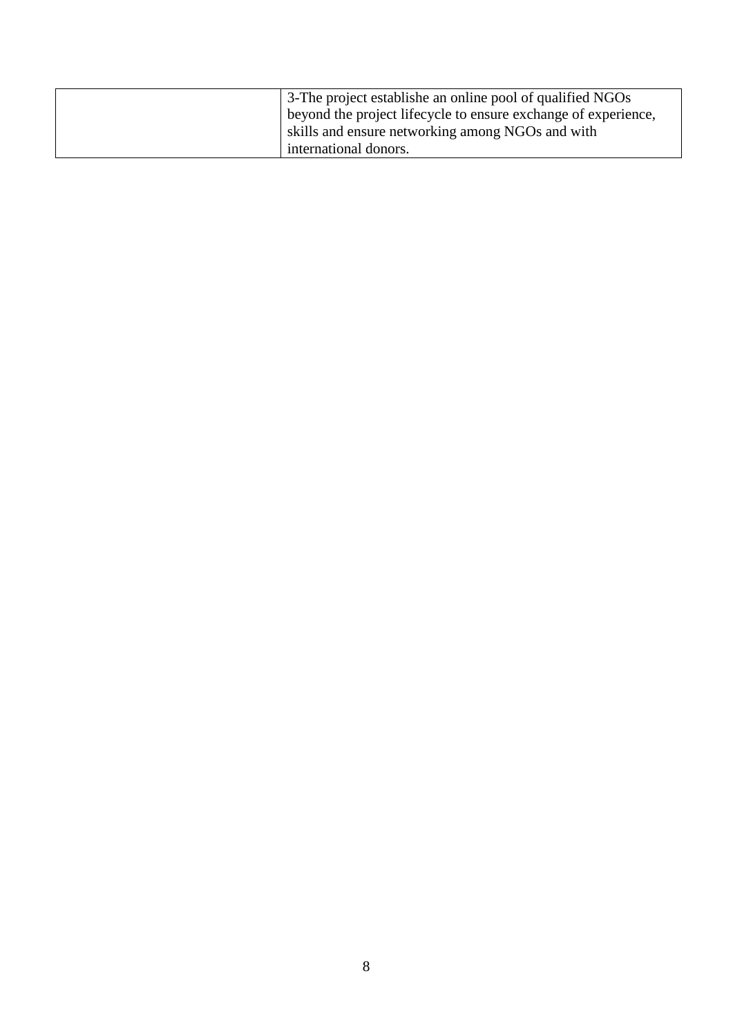| 3-The project establishe an online pool of qualified NGOs      |
|----------------------------------------------------------------|
| beyond the project lifecycle to ensure exchange of experience, |
| skills and ensure networking among NGOs and with               |
| international donors.                                          |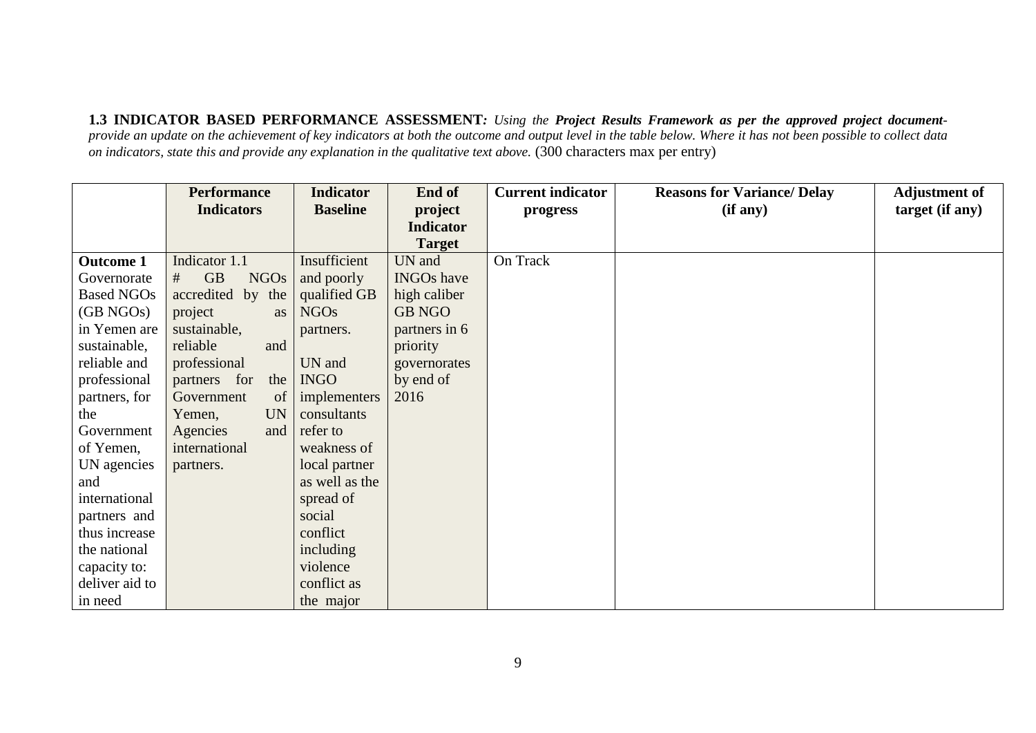**1.3 INDICATOR BASED PERFORMANCE ASSESSMENT***: Using the Project Results Framework as per the approved project documentprovide an update on the achievement of key indicators at both the outcome and output level in the table below. Where it has not been possible to collect data on indicators, state this and provide any explanation in the qualitative text above.* (300 characters max per entry)

|                   | <b>Performance</b>            | <b>Indicator</b> | End of            | <b>Current indicator</b> | <b>Reasons for Variance/ Delay</b> | <b>Adjustment of</b> |
|-------------------|-------------------------------|------------------|-------------------|--------------------------|------------------------------------|----------------------|
|                   | <b>Indicators</b>             | <b>Baseline</b>  | project           | progress                 | (if any)                           | target (if any)      |
|                   |                               |                  | <b>Indicator</b>  |                          |                                    |                      |
|                   |                               |                  | <b>Target</b>     |                          |                                    |                      |
| <b>Outcome 1</b>  | Indicator 1.1                 | Insufficient     | UN and            | On Track                 |                                    |                      |
| Governorate       | <b>GB</b><br><b>NGOs</b><br># | and poorly       | <b>INGOs</b> have |                          |                                    |                      |
| <b>Based NGOs</b> | accredited by the             | qualified GB     | high caliber      |                          |                                    |                      |
| (GB NGOs)         | project<br><b>as</b>          | <b>NGOs</b>      | <b>GB NGO</b>     |                          |                                    |                      |
| in Yemen are      | sustainable,                  | partners.        | partners in 6     |                          |                                    |                      |
| sustainable,      | reliable<br>and               |                  | priority          |                          |                                    |                      |
| reliable and      | professional                  | UN and           | governorates      |                          |                                    |                      |
| professional      | partners for<br>the           | <b>INGO</b>      | by end of         |                          |                                    |                      |
| partners, for     | Government<br>of              | implementers     | 2016              |                          |                                    |                      |
| the               | <b>UN</b><br>Yemen,           | consultants      |                   |                          |                                    |                      |
| Government        | Agencies<br>and               | refer to         |                   |                          |                                    |                      |
| of Yemen,         | international                 | weakness of      |                   |                          |                                    |                      |
| UN agencies       | partners.                     | local partner    |                   |                          |                                    |                      |
| and               |                               | as well as the   |                   |                          |                                    |                      |
| international     |                               | spread of        |                   |                          |                                    |                      |
| partners and      |                               | social           |                   |                          |                                    |                      |
| thus increase     |                               | conflict         |                   |                          |                                    |                      |
| the national      |                               | including        |                   |                          |                                    |                      |
| capacity to:      |                               | violence         |                   |                          |                                    |                      |
| deliver aid to    |                               | conflict as      |                   |                          |                                    |                      |
| in need           |                               | the major        |                   |                          |                                    |                      |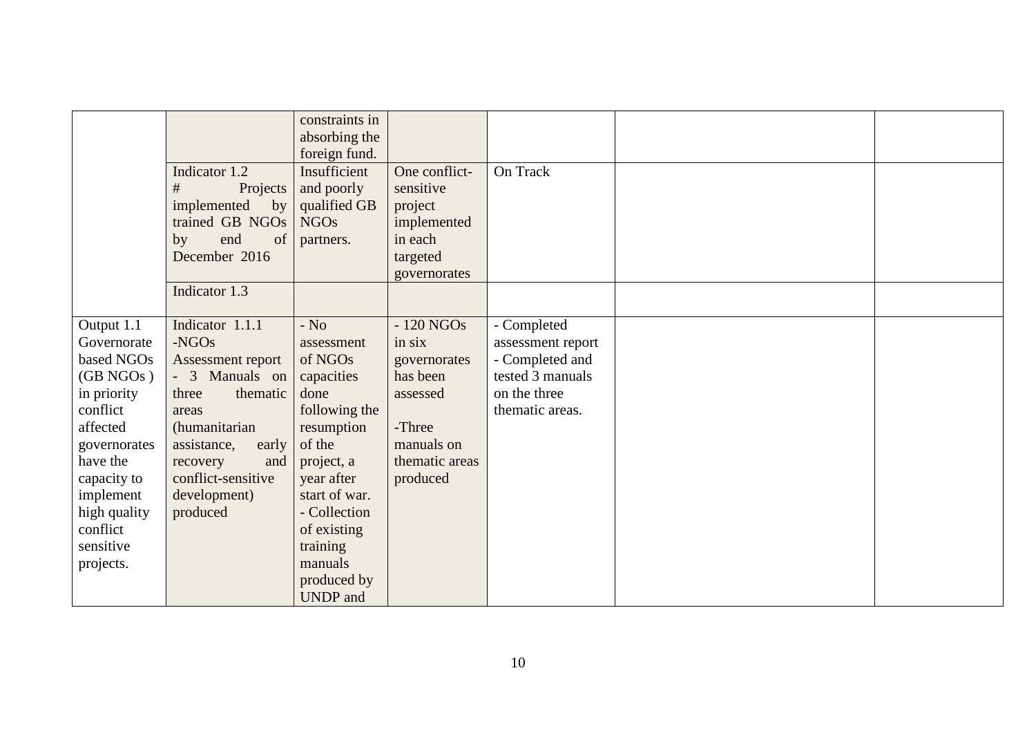|              |                       | constraints in<br>absorbing the |                |                   |  |
|--------------|-----------------------|---------------------------------|----------------|-------------------|--|
|              |                       | foreign fund.                   |                |                   |  |
|              | Indicator 1.2         | Insufficient                    | One conflict-  | On Track          |  |
|              | #<br>Projects         | and poorly                      | sensitive      |                   |  |
|              | implemented<br>$-$ by | qualified GB                    | project        |                   |  |
|              | trained GB NGOs       | <b>NGOs</b>                     | implemented    |                   |  |
|              | end<br>by<br>of       | partners.                       | in each        |                   |  |
|              | December 2016         |                                 | targeted       |                   |  |
|              |                       |                                 | governorates   |                   |  |
|              | Indicator 1.3         |                                 |                |                   |  |
|              |                       |                                 |                |                   |  |
| Output 1.1   | Indicator 1.1.1       | $-$ No                          | $-120$ NGOs    | - Completed       |  |
| Governorate  | $-NGOs$               | assessment                      | in six         | assessment report |  |
| based NGOs   | Assessment report     | of NGOs                         | governorates   | - Completed and   |  |
| (GB NGOs)    | $-3$<br>Manuals on    | capacities                      | has been       | tested 3 manuals  |  |
| in priority  | thematic<br>three     | done                            | assessed       | on the three      |  |
| conflict     | areas                 | following the                   |                | thematic areas.   |  |
| affected     | (humanitarian         | resumption                      | -Three         |                   |  |
| governorates | assistance,<br>early  | of the                          | manuals on     |                   |  |
| have the     | recovery<br>and       | project, a                      | thematic areas |                   |  |
| capacity to  | conflict-sensitive    | year after                      | produced       |                   |  |
| implement    | development)          | start of war.                   |                |                   |  |
| high quality | produced              | - Collection                    |                |                   |  |
| conflict     |                       | of existing                     |                |                   |  |
| sensitive    |                       | training                        |                |                   |  |
| projects.    |                       | manuals                         |                |                   |  |
|              |                       | produced by                     |                |                   |  |
|              |                       | <b>UNDP</b> and                 |                |                   |  |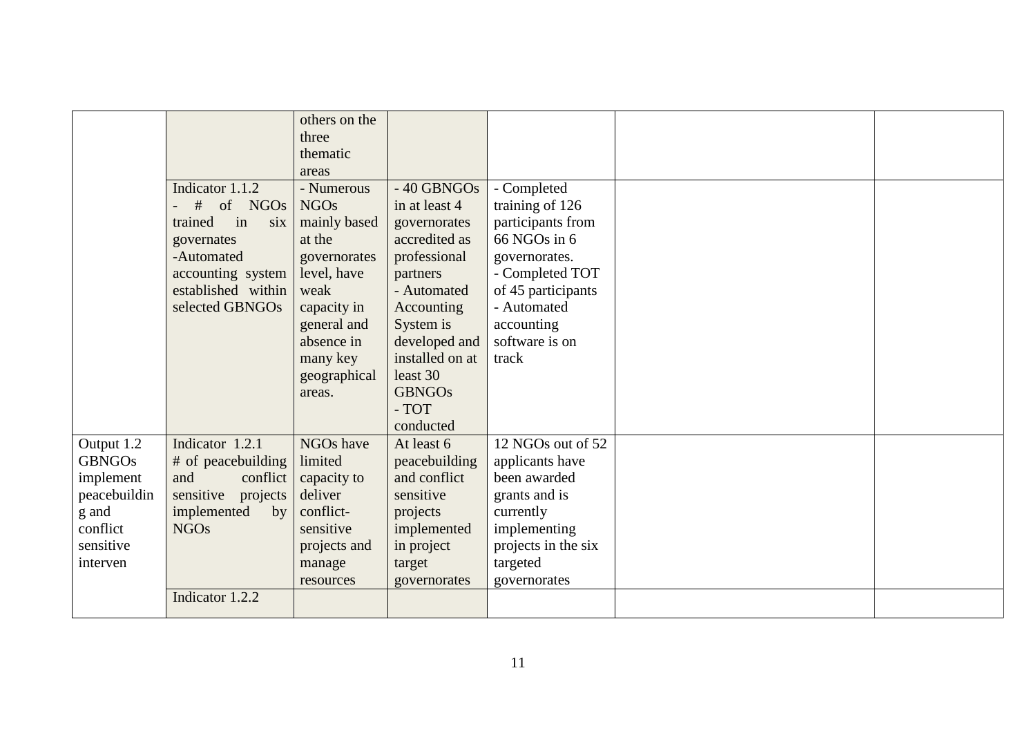|                   |                                    | others on the<br>three<br>thematic<br>areas |                               |                                     |  |
|-------------------|------------------------------------|---------------------------------------------|-------------------------------|-------------------------------------|--|
|                   | Indicator 1.1.2                    | - Numerous                                  | - 40 GBNGOs                   | - Completed                         |  |
|                   | of NGOs<br>#                       | <b>NGOs</b>                                 | in at least 4                 | training of 126                     |  |
|                   | in<br>trained<br>six<br>governates | mainly based<br>at the                      | governorates<br>accredited as | participants from<br>66 NGOs in 6   |  |
|                   | -Automated                         | governorates                                | professional                  | governorates.                       |  |
|                   | accounting system                  | level, have                                 | partners                      | - Completed TOT                     |  |
|                   | established within                 | weak                                        | - Automated                   | of 45 participants                  |  |
|                   | selected GBNGOs                    | capacity in                                 | Accounting                    | - Automated                         |  |
|                   |                                    | general and                                 | System is                     | accounting                          |  |
|                   |                                    | absence in                                  | developed and                 | software is on                      |  |
|                   |                                    | many key                                    | installed on at<br>least 30   | track                               |  |
|                   |                                    | geographical<br>areas.                      | <b>GBNGOs</b>                 |                                     |  |
|                   |                                    |                                             | - TOT                         |                                     |  |
|                   |                                    |                                             | conducted                     |                                     |  |
| Output 1.2        | Indicator 1.2.1                    | NGOs have                                   | At least 6                    | 12 NGOs out of 52                   |  |
| <b>GBNGOs</b>     | # of peacebuilding                 | limited                                     | peacebuilding                 | applicants have                     |  |
| implement         | and<br>conflict                    | capacity to                                 | and conflict                  | been awarded                        |  |
| peacebuildin      | sensitive projects                 | deliver                                     | sensitive                     | grants and is                       |  |
| g and<br>conflict | implemented<br>by<br><b>NGOs</b>   | conflict-<br>sensitive                      | projects                      | currently                           |  |
| sensitive         |                                    | projects and                                | implemented<br>in project     | implementing<br>projects in the six |  |
| interven          |                                    | manage                                      | target                        | targeted                            |  |
|                   |                                    | resources                                   | governorates                  | governorates                        |  |
|                   | Indicator 1.2.2                    |                                             |                               |                                     |  |
|                   |                                    |                                             |                               |                                     |  |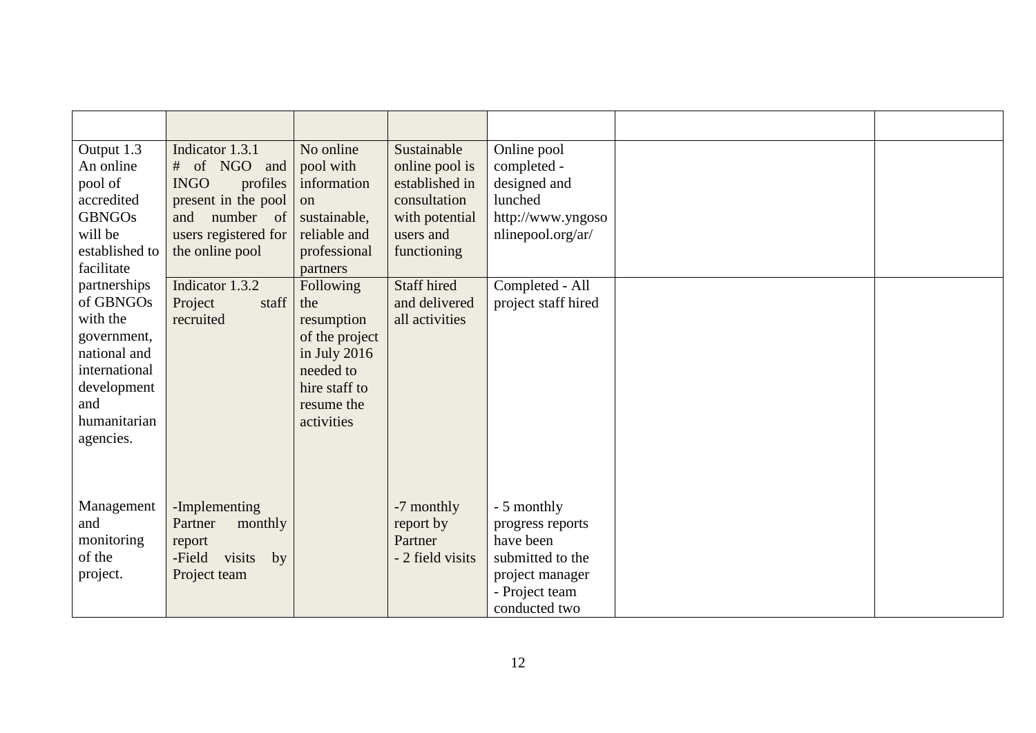| Output 1.3<br>An online<br>pool of<br>accredited<br><b>GBNGOs</b><br>will be<br>established to<br>facilitate                             | Indicator 1.3.1<br># of NGO and<br><b>INGO</b><br>profiles<br>present in the pool<br>and<br>number of<br>users registered for<br>the online pool | No online<br>pool with<br>information<br>$\Omega$<br>sustainable,<br>reliable and<br>professional<br>partners              | Sustainable<br>online pool is<br>established in<br>consultation<br>with potential<br>users and<br>functioning | Online pool<br>completed -<br>designed and<br>lunched<br>http://www.yngoso<br>nlinepool.org/ar/                        |  |
|------------------------------------------------------------------------------------------------------------------------------------------|--------------------------------------------------------------------------------------------------------------------------------------------------|----------------------------------------------------------------------------------------------------------------------------|---------------------------------------------------------------------------------------------------------------|------------------------------------------------------------------------------------------------------------------------|--|
| partnerships<br>of GBNGOs<br>with the<br>government,<br>national and<br>international<br>development<br>and<br>humanitarian<br>agencies. | Indicator 1.3.2<br>Project<br>staff<br>recruited                                                                                                 | Following<br>the<br>resumption<br>of the project<br>in July 2016<br>needed to<br>hire staff to<br>resume the<br>activities | Staff hired<br>and delivered<br>all activities                                                                | Completed - All<br>project staff hired                                                                                 |  |
| Management<br>and<br>monitoring<br>of the<br>project.                                                                                    | -Implementing<br>Partner<br>monthly<br>report<br>visits<br>-Field<br>by<br>Project team                                                          |                                                                                                                            | -7 monthly<br>report by<br>Partner<br>- 2 field visits                                                        | - 5 monthly<br>progress reports<br>have been<br>submitted to the<br>project manager<br>- Project team<br>conducted two |  |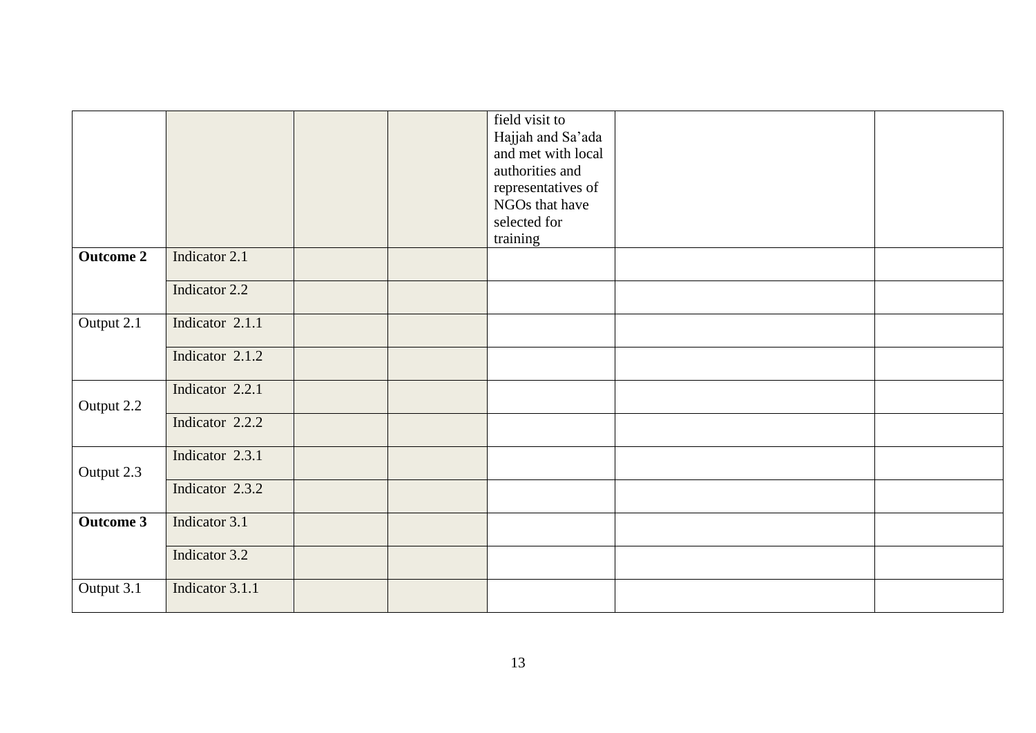|                         |                 |  | field visit to<br>Hajjah and Sa'ada<br>and met with local<br>authorities and<br>representatives of |  |
|-------------------------|-----------------|--|----------------------------------------------------------------------------------------------------|--|
|                         |                 |  | NGOs that have<br>selected for<br>training                                                         |  |
| <b>Outcome 2</b>        | Indicator 2.1   |  |                                                                                                    |  |
|                         | Indicator 2.2   |  |                                                                                                    |  |
| Output $2.\overline{1}$ | Indicator 2.1.1 |  |                                                                                                    |  |
|                         | Indicator 2.1.2 |  |                                                                                                    |  |
| Output 2.2              | Indicator 2.2.1 |  |                                                                                                    |  |
|                         | Indicator 2.2.2 |  |                                                                                                    |  |
| Output 2.3              | Indicator 2.3.1 |  |                                                                                                    |  |
|                         | Indicator 2.3.2 |  |                                                                                                    |  |
| <b>Outcome 3</b>        | Indicator 3.1   |  |                                                                                                    |  |
|                         | Indicator 3.2   |  |                                                                                                    |  |
| Output 3.1              | Indicator 3.1.1 |  |                                                                                                    |  |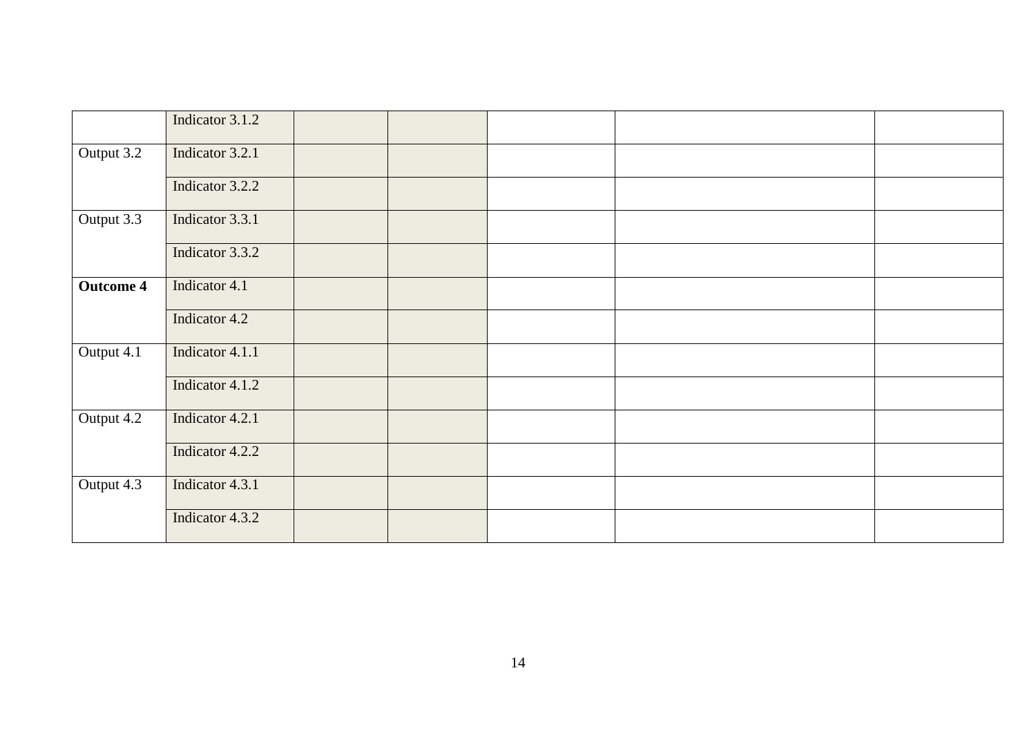|                  | Indicator 3.1.2 |  |  |  |
|------------------|-----------------|--|--|--|
| Output 3.2       | Indicator 3.2.1 |  |  |  |
|                  | Indicator 3.2.2 |  |  |  |
| Output 3.3       | Indicator 3.3.1 |  |  |  |
|                  | Indicator 3.3.2 |  |  |  |
| <b>Outcome 4</b> | Indicator 4.1   |  |  |  |
|                  | Indicator 4.2   |  |  |  |
| Output 4.1       | Indicator 4.1.1 |  |  |  |
|                  | Indicator 4.1.2 |  |  |  |
| Output 4.2       | Indicator 4.2.1 |  |  |  |
|                  | Indicator 4.2.2 |  |  |  |
| Output 4.3       | Indicator 4.3.1 |  |  |  |
|                  | Indicator 4.3.2 |  |  |  |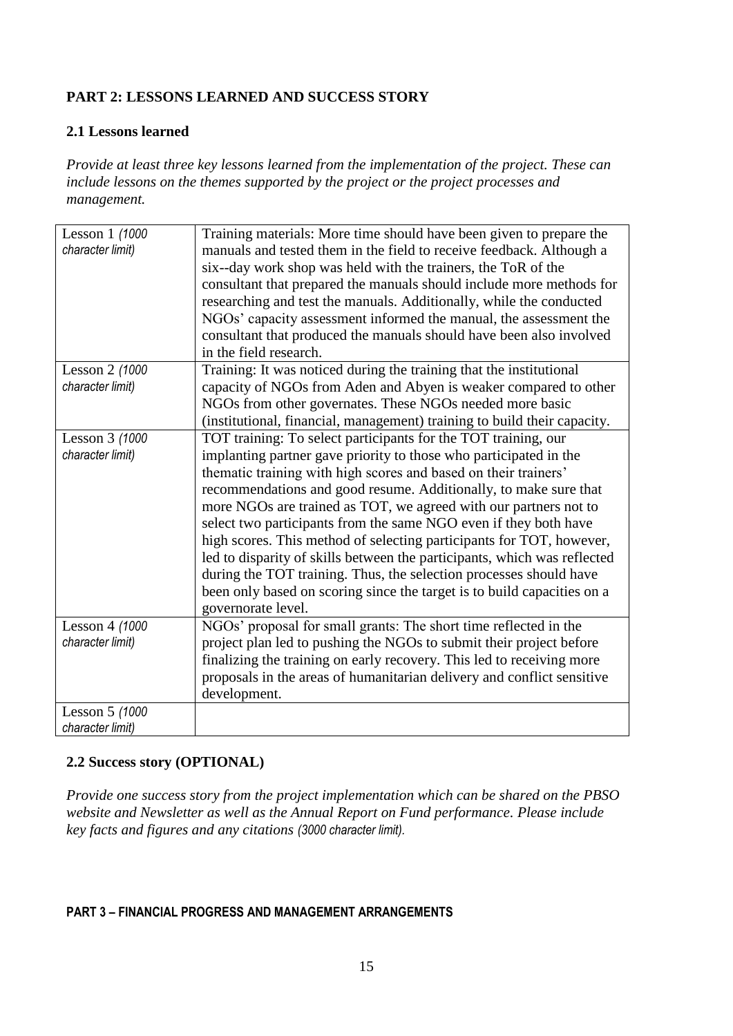# **PART 2: LESSONS LEARNED AND SUCCESS STORY**

# **2.1 Lessons learned**

*Provide at least three key lessons learned from the implementation of the project. These can include lessons on the themes supported by the project or the project processes and management.*

| Lesson 1 (1000<br>character limit) | Training materials: More time should have been given to prepare the<br>manuals and tested them in the field to receive feedback. Although a<br>six--day work shop was held with the trainers, the ToR of the<br>consultant that prepared the manuals should include more methods for<br>researching and test the manuals. Additionally, while the conducted<br>NGOs' capacity assessment informed the manual, the assessment the<br>consultant that produced the manuals should have been also involved<br>in the field research. |
|------------------------------------|-----------------------------------------------------------------------------------------------------------------------------------------------------------------------------------------------------------------------------------------------------------------------------------------------------------------------------------------------------------------------------------------------------------------------------------------------------------------------------------------------------------------------------------|
| Lesson 2 (1000                     | Training: It was noticed during the training that the institutional                                                                                                                                                                                                                                                                                                                                                                                                                                                               |
| character limit)                   | capacity of NGOs from Aden and Abyen is weaker compared to other                                                                                                                                                                                                                                                                                                                                                                                                                                                                  |
|                                    | NGOs from other governates. These NGOs needed more basic                                                                                                                                                                                                                                                                                                                                                                                                                                                                          |
|                                    | (institutional, financial, management) training to build their capacity.                                                                                                                                                                                                                                                                                                                                                                                                                                                          |
| Lesson 3 (1000                     | TOT training: To select participants for the TOT training, our                                                                                                                                                                                                                                                                                                                                                                                                                                                                    |
| character limit)                   | implanting partner gave priority to those who participated in the                                                                                                                                                                                                                                                                                                                                                                                                                                                                 |
|                                    | thematic training with high scores and based on their trainers'                                                                                                                                                                                                                                                                                                                                                                                                                                                                   |
|                                    | recommendations and good resume. Additionally, to make sure that                                                                                                                                                                                                                                                                                                                                                                                                                                                                  |
|                                    |                                                                                                                                                                                                                                                                                                                                                                                                                                                                                                                                   |
|                                    | more NGOs are trained as TOT, we agreed with our partners not to                                                                                                                                                                                                                                                                                                                                                                                                                                                                  |
|                                    | select two participants from the same NGO even if they both have                                                                                                                                                                                                                                                                                                                                                                                                                                                                  |
|                                    | high scores. This method of selecting participants for TOT, however,                                                                                                                                                                                                                                                                                                                                                                                                                                                              |
|                                    | led to disparity of skills between the participants, which was reflected                                                                                                                                                                                                                                                                                                                                                                                                                                                          |
|                                    | during the TOT training. Thus, the selection processes should have                                                                                                                                                                                                                                                                                                                                                                                                                                                                |
|                                    | been only based on scoring since the target is to build capacities on a                                                                                                                                                                                                                                                                                                                                                                                                                                                           |
|                                    | governorate level.                                                                                                                                                                                                                                                                                                                                                                                                                                                                                                                |
| Lesson 4 (1000                     | NGOs' proposal for small grants: The short time reflected in the                                                                                                                                                                                                                                                                                                                                                                                                                                                                  |
| character limit)                   | project plan led to pushing the NGOs to submit their project before                                                                                                                                                                                                                                                                                                                                                                                                                                                               |
|                                    | finalizing the training on early recovery. This led to receiving more                                                                                                                                                                                                                                                                                                                                                                                                                                                             |
|                                    | proposals in the areas of humanitarian delivery and conflict sensitive                                                                                                                                                                                                                                                                                                                                                                                                                                                            |
|                                    | development.                                                                                                                                                                                                                                                                                                                                                                                                                                                                                                                      |
| Lesson 5 (1000                     |                                                                                                                                                                                                                                                                                                                                                                                                                                                                                                                                   |
| character limit)                   |                                                                                                                                                                                                                                                                                                                                                                                                                                                                                                                                   |
|                                    |                                                                                                                                                                                                                                                                                                                                                                                                                                                                                                                                   |

# **2.2 Success story (OPTIONAL)**

*Provide one success story from the project implementation which can be shared on the PBSO website and Newsletter as well as the Annual Report on Fund performance. Please include key facts and figures and any citations (3000 character limit).*

# **PART 3** *–* **FINANCIAL PROGRESS AND MANAGEMENT ARRANGEMENTS**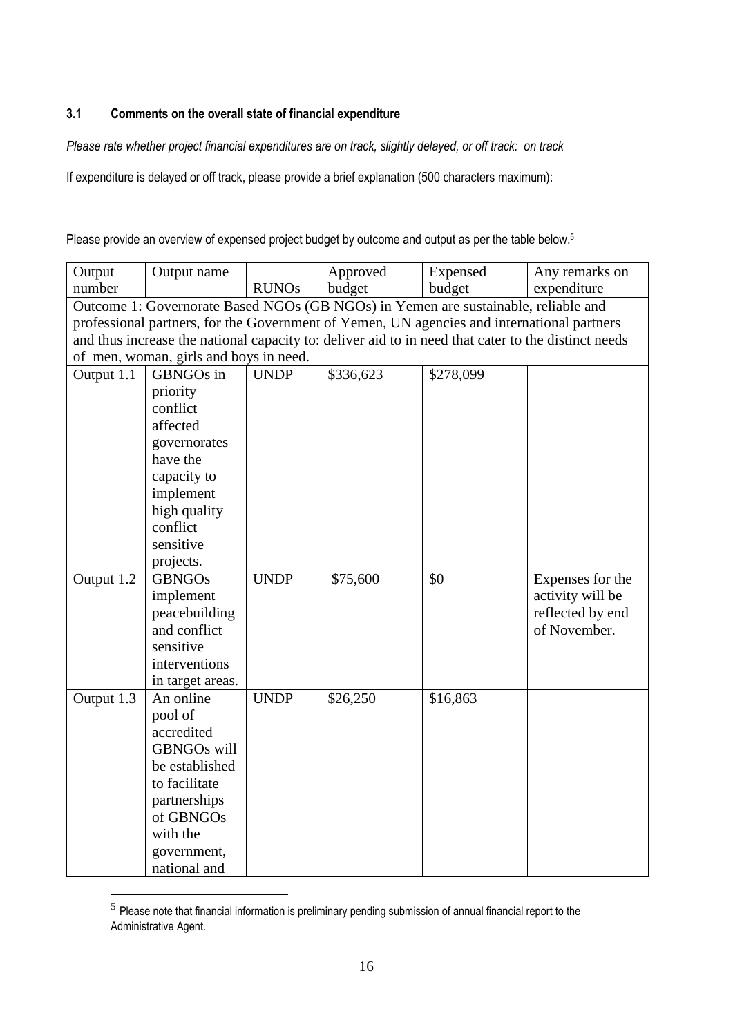# **3.1 Comments on the overall state of financial expenditure**

*Please rate whether project financial expenditures are on track, slightly delayed, or off track: on track*

If expenditure is delayed or off track, please provide a brief explanation (500 characters maximum):

Please provide an overview of expensed project budget by outcome and output as per the table below.<sup>5</sup>

| Output                                                                                     | Output name                                                                                         |              | Approved  | Expensed  | Any remarks on   |  |  |  |  |  |
|--------------------------------------------------------------------------------------------|-----------------------------------------------------------------------------------------------------|--------------|-----------|-----------|------------------|--|--|--|--|--|
| number                                                                                     |                                                                                                     | <b>RUNOs</b> | budget    | budget    | expenditure      |  |  |  |  |  |
|                                                                                            | Outcome 1: Governorate Based NGOs (GB NGOs) in Yemen are sustainable, reliable and                  |              |           |           |                  |  |  |  |  |  |
| professional partners, for the Government of Yemen, UN agencies and international partners |                                                                                                     |              |           |           |                  |  |  |  |  |  |
|                                                                                            | and thus increase the national capacity to: deliver aid to in need that cater to the distinct needs |              |           |           |                  |  |  |  |  |  |
|                                                                                            | of men, woman, girls and boys in need.                                                              |              |           |           |                  |  |  |  |  |  |
| Output 1.1                                                                                 | GBNGOs in                                                                                           | <b>UNDP</b>  | \$336,623 | \$278,099 |                  |  |  |  |  |  |
|                                                                                            | priority                                                                                            |              |           |           |                  |  |  |  |  |  |
|                                                                                            | conflict                                                                                            |              |           |           |                  |  |  |  |  |  |
|                                                                                            | affected                                                                                            |              |           |           |                  |  |  |  |  |  |
|                                                                                            | governorates                                                                                        |              |           |           |                  |  |  |  |  |  |
|                                                                                            | have the                                                                                            |              |           |           |                  |  |  |  |  |  |
|                                                                                            | capacity to                                                                                         |              |           |           |                  |  |  |  |  |  |
|                                                                                            | implement                                                                                           |              |           |           |                  |  |  |  |  |  |
|                                                                                            | high quality                                                                                        |              |           |           |                  |  |  |  |  |  |
|                                                                                            | conflict                                                                                            |              |           |           |                  |  |  |  |  |  |
|                                                                                            | sensitive                                                                                           |              |           |           |                  |  |  |  |  |  |
|                                                                                            | projects.                                                                                           |              |           |           |                  |  |  |  |  |  |
| Output 1.2                                                                                 | <b>GBNGOs</b>                                                                                       | <b>UNDP</b>  | \$75,600  | \$0       | Expenses for the |  |  |  |  |  |
|                                                                                            | implement                                                                                           |              |           |           | activity will be |  |  |  |  |  |
|                                                                                            | peacebuilding                                                                                       |              |           |           | reflected by end |  |  |  |  |  |
|                                                                                            | and conflict                                                                                        |              |           |           | of November.     |  |  |  |  |  |
|                                                                                            | sensitive                                                                                           |              |           |           |                  |  |  |  |  |  |
|                                                                                            | interventions                                                                                       |              |           |           |                  |  |  |  |  |  |
|                                                                                            | in target areas.                                                                                    |              |           |           |                  |  |  |  |  |  |
| Output 1.3                                                                                 | An online                                                                                           | <b>UNDP</b>  | \$26,250  | \$16,863  |                  |  |  |  |  |  |
|                                                                                            | pool of                                                                                             |              |           |           |                  |  |  |  |  |  |
|                                                                                            | accredited                                                                                          |              |           |           |                  |  |  |  |  |  |
|                                                                                            | <b>GBNGOs will</b>                                                                                  |              |           |           |                  |  |  |  |  |  |
|                                                                                            | be established                                                                                      |              |           |           |                  |  |  |  |  |  |
|                                                                                            | to facilitate                                                                                       |              |           |           |                  |  |  |  |  |  |
|                                                                                            | partnerships                                                                                        |              |           |           |                  |  |  |  |  |  |
|                                                                                            | of GBNGOs                                                                                           |              |           |           |                  |  |  |  |  |  |
|                                                                                            | with the                                                                                            |              |           |           |                  |  |  |  |  |  |
|                                                                                            | government,                                                                                         |              |           |           |                  |  |  |  |  |  |
|                                                                                            | national and                                                                                        |              |           |           |                  |  |  |  |  |  |

 $<sup>5</sup>$  Please note that financial information is preliminary pending submission of annual financial report to the</sup> Administrative Agent.

<u>.</u>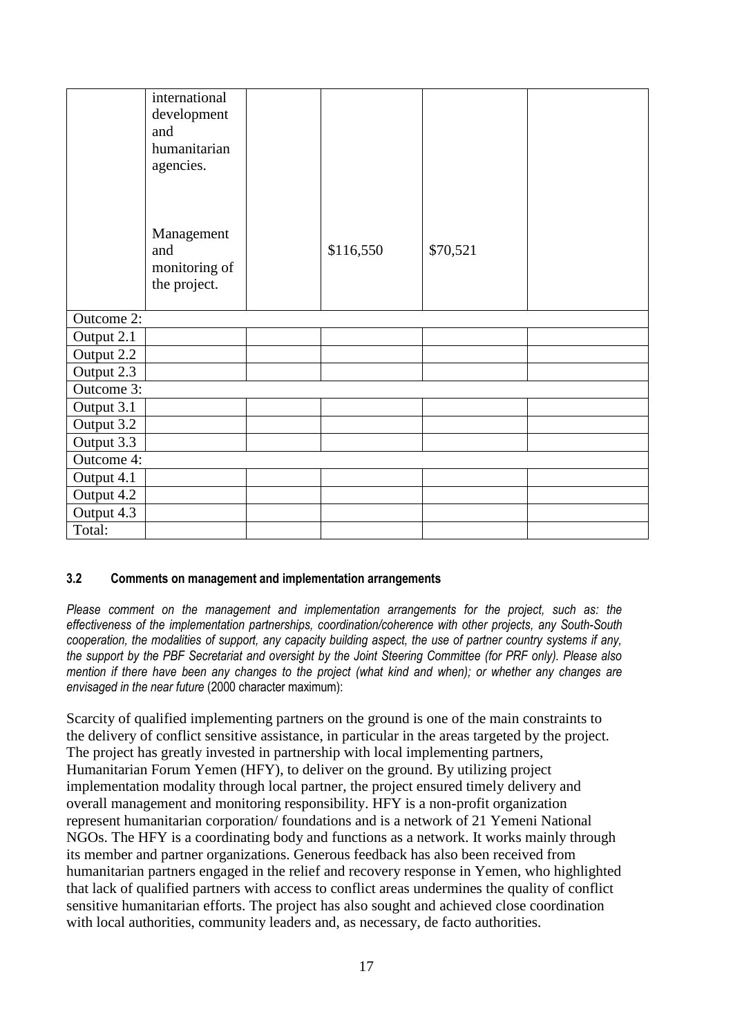|            | international<br>development |           |          |  |
|------------|------------------------------|-----------|----------|--|
|            | and                          |           |          |  |
|            | humanitarian                 |           |          |  |
|            | agencies.                    |           |          |  |
|            |                              |           |          |  |
|            |                              |           |          |  |
|            |                              |           |          |  |
|            | Management                   |           |          |  |
|            | and                          | \$116,550 | \$70,521 |  |
|            | monitoring of                |           |          |  |
|            | the project.                 |           |          |  |
| Outcome 2: |                              |           |          |  |
|            |                              |           |          |  |
| Output 2.1 |                              |           |          |  |
| Output 2.2 |                              |           |          |  |
| Output 2.3 |                              |           |          |  |
| Outcome 3: |                              |           |          |  |
| Output 3.1 |                              |           |          |  |
| Output 3.2 |                              |           |          |  |
| Output 3.3 |                              |           |          |  |
| Outcome 4: |                              |           |          |  |
| Output 4.1 |                              |           |          |  |
| Output 4.2 |                              |           |          |  |
| Output 4.3 |                              |           |          |  |
| Total:     |                              |           |          |  |

## **3.2 Comments on management and implementation arrangements**

*Please comment on the management and implementation arrangements for the project, such as: the effectiveness of the implementation partnerships, coordination/coherence with other projects, any South-South cooperation, the modalities of support, any capacity building aspect, the use of partner country systems if any, the support by the PBF Secretariat and oversight by the Joint Steering Committee (for PRF only). Please also mention if there have been any changes to the project (what kind and when); or whether any changes are envisaged in the near future* (2000 character maximum):

Scarcity of qualified implementing partners on the ground is one of the main constraints to the delivery of conflict sensitive assistance, in particular in the areas targeted by the project. The project has greatly invested in partnership with local implementing partners, Humanitarian Forum Yemen (HFY), to deliver on the ground. By utilizing project implementation modality through local partner, the project ensured timely delivery and overall management and monitoring responsibility. HFY is a non-profit organization represent humanitarian corporation/ foundations and is a network of 21 Yemeni National NGOs. The HFY is a coordinating body and functions as a network. It works mainly through its member and partner organizations. Generous feedback has also been received from humanitarian partners engaged in the relief and recovery response in Yemen, who highlighted that lack of qualified partners with access to conflict areas undermines the quality of conflict sensitive humanitarian efforts. The project has also sought and achieved close coordination with local authorities, community leaders and, as necessary, de facto authorities.